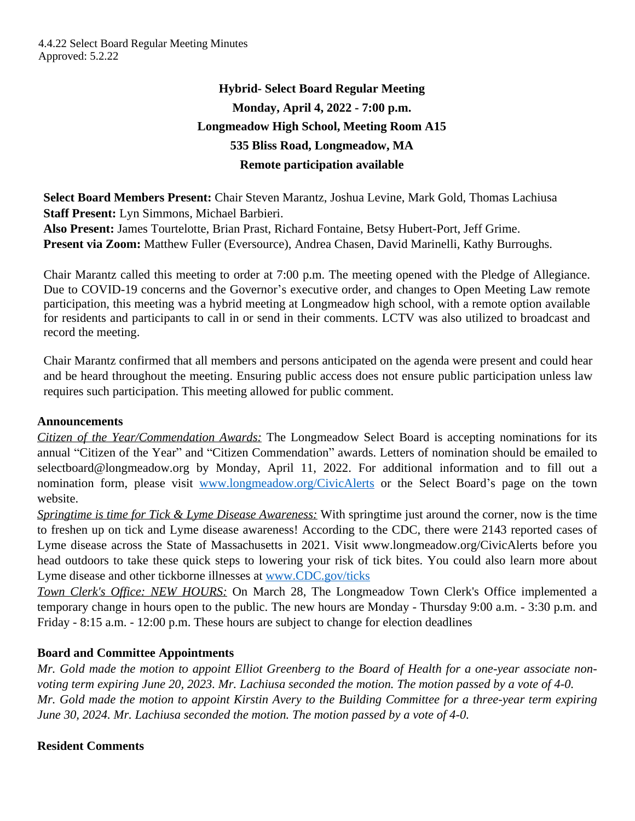# **Hybrid- Select Board Regular Meeting Monday, April 4, 2022 - 7:00 p.m. Longmeadow High School, Meeting Room A15 535 Bliss Road, Longmeadow, MA Remote participation available**

**Select Board Members Present:** Chair Steven Marantz, Joshua Levine, Mark Gold, Thomas Lachiusa **Staff Present:** Lyn Simmons, Michael Barbieri.

**Also Present:** James Tourtelotte, Brian Prast, Richard Fontaine, Betsy Hubert-Port, Jeff Grime. **Present via Zoom:** Matthew Fuller (Eversource), Andrea Chasen, David Marinelli, Kathy Burroughs.

Chair Marantz called this meeting to order at 7:00 p.m. The meeting opened with the Pledge of Allegiance. Due to COVID-19 concerns and the Governor's executive order, and changes to Open Meeting Law remote participation, this meeting was a hybrid meeting at Longmeadow high school, with a remote option available for residents and participants to call in or send in their comments. LCTV was also utilized to broadcast and record the meeting.

Chair Marantz confirmed that all members and persons anticipated on the agenda were present and could hear and be heard throughout the meeting. Ensuring public access does not ensure public participation unless law requires such participation. This meeting allowed for public comment.

# **Announcements**

*Citizen of the Year/Commendation Awards:* The Longmeadow Select Board is accepting nominations for its annual "Citizen of the Year" and "Citizen Commendation" awards. Letters of nomination should be emailed to selectboard@longmeadow.org by Monday, April 11, 2022. For additional information and to fill out a nomination form, please visit [www.longmeadow.org/CivicAlerts](http://www.longmeadow.org/CivicAlerts) or the Select Board's page on the town website.

*Springtime is time for Tick & Lyme Disease Awareness:* With springtime just around the corner, now is the time to freshen up on tick and Lyme disease awareness! According to the CDC, there were 2143 reported cases of Lyme disease across the State of Massachusetts in 2021. Visit www.longmeadow.org/CivicAlerts before you head outdoors to take these quick steps to lowering your risk of tick bites. You could also learn more about Lyme disease and other tickborne illnesses at [www.CDC.gov/ticks](http://www.CDC.gov/ticks)

*Town Clerk's Office: NEW HOURS:* On March 28, The Longmeadow Town Clerk's Office implemented a temporary change in hours open to the public. The new hours are Monday - Thursday 9:00 a.m. - 3:30 p.m. and Friday - 8:15 a.m. - 12:00 p.m. These hours are subject to change for election deadlines

# **Board and Committee Appointments**

Mr. Gold made the motion to appoint Elliot Greenberg to the Board of Health for a one-year associate non*voting term expiring June 20, 2023. Mr. Lachiusa seconded the motion. The motion passed by a vote of 4-0.* Mr. Gold made the motion to appoint Kirstin Avery to the Building Committee for a three-year term expiring *June 30, 2024. Mr. Lachiusa seconded the motion. The motion passed by a vote of 4-0.*

# **Resident Comments**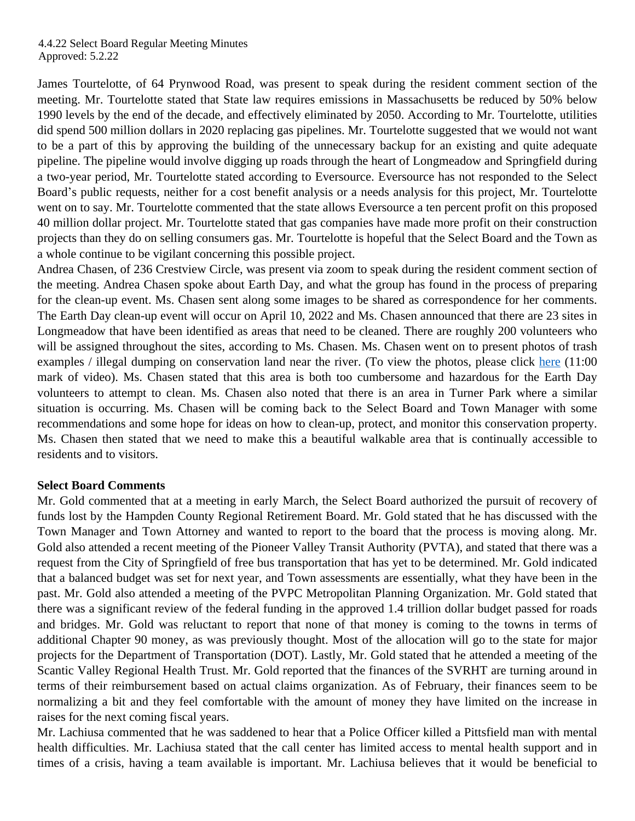James Tourtelotte, of 64 Prynwood Road, was present to speak during the resident comment section of the meeting. Mr. Tourtelotte stated that State law requires emissions in Massachusetts be reduced by 50% below 1990 levels by the end of the decade, and effectively eliminated by 2050. According to Mr. Tourtelotte, utilities did spend 500 million dollars in 2020 replacing gas pipelines. Mr. Tourtelotte suggested that we would not want to be a part of this by approving the building of the unnecessary backup for an existing and quite adequate pipeline. The pipeline would involve digging up roads through the heart of Longmeadow and Springfield during a two-year period, Mr. Tourtelotte stated according to Eversource. Eversource has not responded to the Select Board's public requests, neither for a cost benefit analysis or a needs analysis for this project, Mr. Tourtelotte went on to say. Mr. Tourtelotte commented that the state allows Eversource a ten percent profit on this proposed 40 million dollar project. Mr. Tourtelotte stated that gas companies have made more profit on their construction projects than they do on selling consumers gas. Mr. Tourtelotte is hopeful that the Select Board and the Town as a whole continue to be vigilant concerning this possible project.

Andrea Chasen, of 236 Crestview Circle, was present via zoom to speak during the resident comment section of the meeting. Andrea Chasen spoke about Earth Day, and what the group has found in the process of preparing for the clean-up event. Ms. Chasen sent along some images to be shared as correspondence for her comments. The Earth Day clean-up event will occur on April 10, 2022 and Ms. Chasen announced that there are 23 sites in Longmeadow that have been identified as areas that need to be cleaned. There are roughly 200 volunteers who will be assigned throughout the sites, according to Ms. Chasen. Ms. Chasen went on to present photos of trash examples / illegal dumping on conservation land near the river. (To view the photos, please click [here](https://www.youtube.com/watch?v=v-zA6TY1OxY) (11:00) mark of video). Ms. Chasen stated that this area is both too cumbersome and hazardous for the Earth Day volunteers to attempt to clean. Ms. Chasen also noted that there is an area in Turner Park where a similar situation is occurring. Ms. Chasen will be coming back to the Select Board and Town Manager with some recommendations and some hope for ideas on how to clean-up, protect, and monitor this conservation property. Ms. Chasen then stated that we need to make this a beautiful walkable area that is continually accessible to residents and to visitors.

# **Select Board Comments**

Mr. Gold commented that at a meeting in early March, the Select Board authorized the pursuit of recovery of funds lost by the Hampden County Regional Retirement Board. Mr. Gold stated that he has discussed with the Town Manager and Town Attorney and wanted to report to the board that the process is moving along. Mr. Gold also attended a recent meeting of the Pioneer Valley Transit Authority (PVTA), and stated that there was a request from the City of Springfield of free bus transportation that has yet to be determined. Mr. Gold indicated that a balanced budget was set for next year, and Town assessments are essentially, what they have been in the past. Mr. Gold also attended a meeting of the PVPC Metropolitan Planning Organization. Mr. Gold stated that there was a significant review of the federal funding in the approved 1.4 trillion dollar budget passed for roads and bridges. Mr. Gold was reluctant to report that none of that money is coming to the towns in terms of additional Chapter 90 money, as was previously thought. Most of the allocation will go to the state for major projects for the Department of Transportation (DOT). Lastly, Mr. Gold stated that he attended a meeting of the Scantic Valley Regional Health Trust. Mr. Gold reported that the finances of the SVRHT are turning around in terms of their reimbursement based on actual claims organization. As of February, their finances seem to be normalizing a bit and they feel comfortable with the amount of money they have limited on the increase in raises for the next coming fiscal years.

Mr. Lachiusa commented that he was saddened to hear that a Police Officer killed a Pittsfield man with mental health difficulties. Mr. Lachiusa stated that the call center has limited access to mental health support and in times of a crisis, having a team available is important. Mr. Lachiusa believes that it would be beneficial to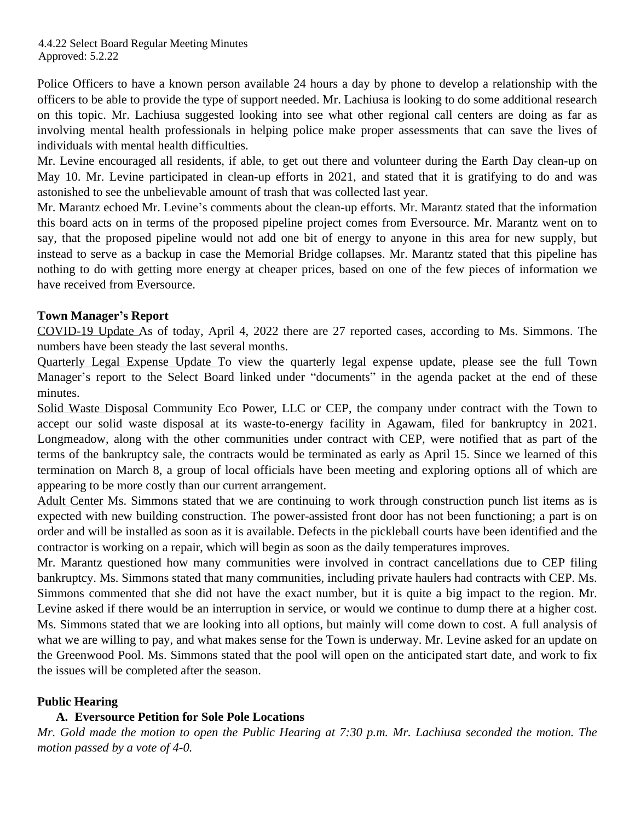Police Officers to have a known person available 24 hours a day by phone to develop a relationship with the officers to be able to provide the type of support needed. Mr. Lachiusa is looking to do some additional research on this topic. Mr. Lachiusa suggested looking into see what other regional call centers are doing as far as involving mental health professionals in helping police make proper assessments that can save the lives of individuals with mental health difficulties.

Mr. Levine encouraged all residents, if able, to get out there and volunteer during the Earth Day clean-up on May 10. Mr. Levine participated in clean-up efforts in 2021, and stated that it is gratifying to do and was astonished to see the unbelievable amount of trash that was collected last year.

Mr. Marantz echoed Mr. Levine's comments about the clean-up efforts. Mr. Marantz stated that the information this board acts on in terms of the proposed pipeline project comes from Eversource. Mr. Marantz went on to say, that the proposed pipeline would not add one bit of energy to anyone in this area for new supply, but instead to serve as a backup in case the Memorial Bridge collapses. Mr. Marantz stated that this pipeline has nothing to do with getting more energy at cheaper prices, based on one of the few pieces of information we have received from Eversource.

# **Town Manager's Report**

COVID-19 Update As of today, April 4, 2022 there are 27 reported cases, according to Ms. Simmons. The numbers have been steady the last several months.

Quarterly Legal Expense Update To view the quarterly legal expense update, please see the full Town Manager's report to the Select Board linked under "documents" in the agenda packet at the end of these minutes.

Solid Waste Disposal Community Eco Power, LLC or CEP, the company under contract with the Town to accept our solid waste disposal at its waste-to-energy facility in Agawam, filed for bankruptcy in 2021. Longmeadow, along with the other communities under contract with CEP, were notified that as part of the terms of the bankruptcy sale, the contracts would be terminated as early as April 15. Since we learned of this termination on March 8, a group of local officials have been meeting and exploring options all of which are appearing to be more costly than our current arrangement.

Adult Center Ms. Simmons stated that we are continuing to work through construction punch list items as is expected with new building construction. The power-assisted front door has not been functioning; a part is on order and will be installed as soon as it is available. Defects in the pickleball courts have been identified and the contractor is working on a repair, which will begin as soon as the daily temperatures improves.

Mr. Marantz questioned how many communities were involved in contract cancellations due to CEP filing bankruptcy. Ms. Simmons stated that many communities, including private haulers had contracts with CEP. Ms. Simmons commented that she did not have the exact number, but it is quite a big impact to the region. Mr. Levine asked if there would be an interruption in service, or would we continue to dump there at a higher cost. Ms. Simmons stated that we are looking into all options, but mainly will come down to cost. A full analysis of what we are willing to pay, and what makes sense for the Town is underway. Mr. Levine asked for an update on the Greenwood Pool. Ms. Simmons stated that the pool will open on the anticipated start date, and work to fix the issues will be completed after the season.

# **Public Hearing**

# **A. Eversource Petition for Sole Pole Locations**

Mr. Gold made the motion to open the Public Hearing at 7:30 p.m. Mr. Lachiusa seconded the motion. The *motion passed by a vote of 4-0.*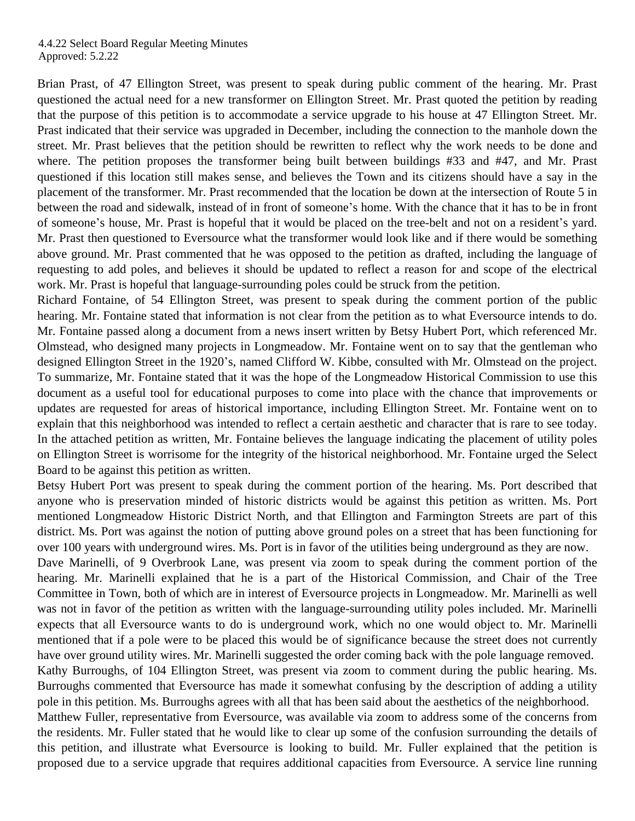Brian Prast, of 47 Ellington Street, was present to speak during public comment of the hearing. Mr. Prast questioned the actual need for a new transformer on Ellington Street. Mr. Prast quoted the petition by reading that the purpose of this petition is to accommodate a service upgrade to his house at 47 Ellington Street. Mr. Prast indicated that their service was upgraded in December, including the connection to the manhole down the street. Mr. Prast believes that the petition should be rewritten to reflect why the work needs to be done and where. The petition proposes the transformer being built between buildings #33 and #47, and Mr. Prast questioned if this location still makes sense, and believes the Town and its citizens should have a say in the placement of the transformer. Mr. Prast recommended that the location be down at the intersection of Route 5 in between the road and sidewalk, instead of in front of someone's home. With the chance that it has to be in front of someone's house, Mr. Prast is hopeful that it would be placed on the tree-belt and not on a resident's yard. Mr. Prast then questioned to Eversource what the transformer would look like and if there would be something above ground. Mr. Prast commented that he was opposed to the petition as drafted, including the language of requesting to add poles, and believes it should be updated to reflect a reason for and scope of the electrical work. Mr. Prast is hopeful that language-surrounding poles could be struck from the petition.

Richard Fontaine, of 54 Ellington Street, was present to speak during the comment portion of the public hearing. Mr. Fontaine stated that information is not clear from the petition as to what Eversource intends to do. Mr. Fontaine passed along a document from a news insert written by Betsy Hubert Port, which referenced Mr. Olmstead, who designed many projects in Longmeadow. Mr. Fontaine went on to say that the gentleman who designed Ellington Street in the 1920's, named Clifford W. Kibbe, consulted with Mr. Olmstead on the project. To summarize, Mr. Fontaine stated that it was the hope of the Longmeadow Historical Commission to use this document as a useful tool for educational purposes to come into place with the chance that improvements or updates are requested for areas of historical importance, including Ellington Street. Mr. Fontaine went on to explain that this neighborhood was intended to reflect a certain aesthetic and character that is rare to see today. In the attached petition as written, Mr. Fontaine believes the language indicating the placement of utility poles on Ellington Street is worrisome for the integrity of the historical neighborhood. Mr. Fontaine urged the Select Board to be against this petition as written.

Betsy Hubert Port was present to speak during the comment portion of the hearing. Ms. Port described that anyone who is preservation minded of historic districts would be against this petition as written. Ms. Port mentioned Longmeadow Historic District North, and that Ellington and Farmington Streets are part of this district. Ms. Port was against the notion of putting above ground poles on a street that has been functioning for over 100 years with underground wires. Ms. Port is in favor of the utilities being underground as they are now.

Dave Marinelli, of 9 Overbrook Lane, was present via zoom to speak during the comment portion of the hearing. Mr. Marinelli explained that he is a part of the Historical Commission, and Chair of the Tree Committee in Town, both of which are in interest of Eversource projects in Longmeadow. Mr. Marinelli as well was not in favor of the petition as written with the language-surrounding utility poles included. Mr. Marinelli expects that all Eversource wants to do is underground work, which no one would object to. Mr. Marinelli mentioned that if a pole were to be placed this would be of significance because the street does not currently have over ground utility wires. Mr. Marinelli suggested the order coming back with the pole language removed. Kathy Burroughs, of 104 Ellington Street, was present via zoom to comment during the public hearing. Ms. Burroughs commented that Eversource has made it somewhat confusing by the description of adding a utility pole in this petition. Ms. Burroughs agrees with all that has been said about the aesthetics of the neighborhood.

Matthew Fuller, representative from Eversource, was available via zoom to address some of the concerns from the residents. Mr. Fuller stated that he would like to clear up some of the confusion surrounding the details of this petition, and illustrate what Eversource is looking to build. Mr. Fuller explained that the petition is proposed due to a service upgrade that requires additional capacities from Eversource. A service line running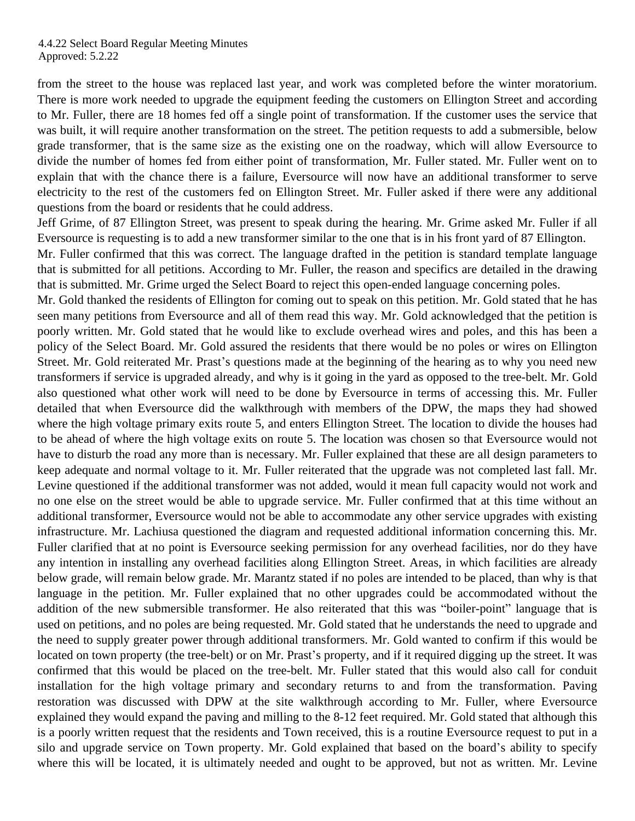from the street to the house was replaced last year, and work was completed before the winter moratorium. There is more work needed to upgrade the equipment feeding the customers on Ellington Street and according to Mr. Fuller, there are 18 homes fed off a single point of transformation. If the customer uses the service that was built, it will require another transformation on the street. The petition requests to add a submersible, below grade transformer, that is the same size as the existing one on the roadway, which will allow Eversource to divide the number of homes fed from either point of transformation, Mr. Fuller stated. Mr. Fuller went on to explain that with the chance there is a failure, Eversource will now have an additional transformer to serve electricity to the rest of the customers fed on Ellington Street. Mr. Fuller asked if there were any additional questions from the board or residents that he could address.

Jeff Grime, of 87 Ellington Street, was present to speak during the hearing. Mr. Grime asked Mr. Fuller if all Eversource is requesting is to add a new transformer similar to the one that is in his front yard of 87 Ellington.

Mr. Fuller confirmed that this was correct. The language drafted in the petition is standard template language that is submitted for all petitions. According to Mr. Fuller, the reason and specifics are detailed in the drawing that is submitted. Mr. Grime urged the Select Board to reject this open-ended language concerning poles.

Mr. Gold thanked the residents of Ellington for coming out to speak on this petition. Mr. Gold stated that he has seen many petitions from Eversource and all of them read this way. Mr. Gold acknowledged that the petition is poorly written. Mr. Gold stated that he would like to exclude overhead wires and poles, and this has been a policy of the Select Board. Mr. Gold assured the residents that there would be no poles or wires on Ellington Street. Mr. Gold reiterated Mr. Prast's questions made at the beginning of the hearing as to why you need new transformers if service is upgraded already, and why is it going in the yard as opposed to the tree-belt. Mr. Gold also questioned what other work will need to be done by Eversource in terms of accessing this. Mr. Fuller detailed that when Eversource did the walkthrough with members of the DPW, the maps they had showed where the high voltage primary exits route 5, and enters Ellington Street. The location to divide the houses had to be ahead of where the high voltage exits on route 5. The location was chosen so that Eversource would not have to disturb the road any more than is necessary. Mr. Fuller explained that these are all design parameters to keep adequate and normal voltage to it. Mr. Fuller reiterated that the upgrade was not completed last fall. Mr. Levine questioned if the additional transformer was not added, would it mean full capacity would not work and no one else on the street would be able to upgrade service. Mr. Fuller confirmed that at this time without an additional transformer, Eversource would not be able to accommodate any other service upgrades with existing infrastructure. Mr. Lachiusa questioned the diagram and requested additional information concerning this. Mr. Fuller clarified that at no point is Eversource seeking permission for any overhead facilities, nor do they have any intention in installing any overhead facilities along Ellington Street. Areas, in which facilities are already below grade, will remain below grade. Mr. Marantz stated if no poles are intended to be placed, than why is that language in the petition. Mr. Fuller explained that no other upgrades could be accommodated without the addition of the new submersible transformer. He also reiterated that this was "boiler-point" language that is used on petitions, and no poles are being requested. Mr. Gold stated that he understands the need to upgrade and the need to supply greater power through additional transformers. Mr. Gold wanted to confirm if this would be located on town property (the tree-belt) or on Mr. Prast's property, and if it required digging up the street. It was confirmed that this would be placed on the tree-belt. Mr. Fuller stated that this would also call for conduit installation for the high voltage primary and secondary returns to and from the transformation. Paving restoration was discussed with DPW at the site walkthrough according to Mr. Fuller, where Eversource explained they would expand the paving and milling to the 8-12 feet required. Mr. Gold stated that although this is a poorly written request that the residents and Town received, this is a routine Eversource request to put in a silo and upgrade service on Town property. Mr. Gold explained that based on the board's ability to specify where this will be located, it is ultimately needed and ought to be approved, but not as written. Mr. Levine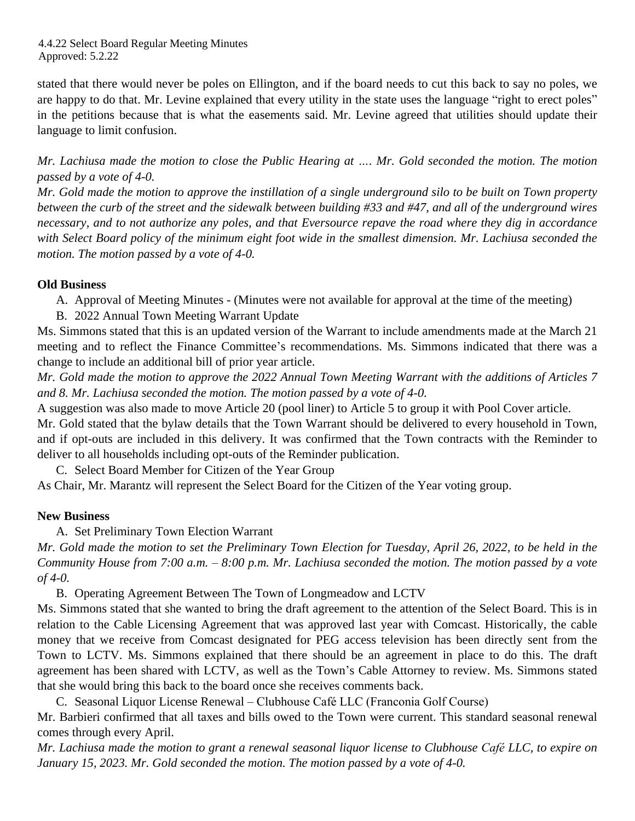stated that there would never be poles on Ellington, and if the board needs to cut this back to say no poles, we are happy to do that. Mr. Levine explained that every utility in the state uses the language "right to erect poles" in the petitions because that is what the easements said. Mr. Levine agreed that utilities should update their language to limit confusion.

Mr. Lachiusa made the motion to close the Public Hearing at .... Mr. Gold seconded the motion. The motion *passed by a vote of 4-0.* 

Mr. Gold made the motion to approve the instillation of a single underground silo to be built on Town property between the curb of the street and the sidewalk between building #33 and #47, and all of the underground wires necessary, and to not authorize any poles, and that Eversource repave the road where they dig in accordance with Select Board policy of the minimum eight foot wide in the smallest dimension. Mr. Lachiusa seconded the *motion. The motion passed by a vote of 4-0.* 

# **Old Business**

A. Approval of Meeting Minutes - (Minutes were not available for approval at the time of the meeting)

B. 2022 Annual Town Meeting Warrant Update

Ms. Simmons stated that this is an updated version of the Warrant to include amendments made at the March 21 meeting and to reflect the Finance Committee's recommendations. Ms. Simmons indicated that there was a change to include an additional bill of prior year article.

Mr. Gold made the motion to approve the 2022 Annual Town Meeting Warrant with the additions of Articles 7 *and 8. Mr. Lachiusa seconded the motion. The motion passed by a vote of 4-0.*

A suggestion was also made to move Article 20 (pool liner) to Article 5 to group it with Pool Cover article. Mr. Gold stated that the bylaw details that the Town Warrant should be delivered to every household in Town, and if opt-outs are included in this delivery. It was confirmed that the Town contracts with the Reminder to deliver to all households including opt-outs of the Reminder publication.

C. Select Board Member for Citizen of the Year Group

As Chair, Mr. Marantz will represent the Select Board for the Citizen of the Year voting group.

### **New Business**

A. Set Preliminary Town Election Warrant

Mr. Gold made the motion to set the Preliminary Town Election for Tuesday, April 26, 2022, to be held in the Community House from 7:00 a.m.  $-$  8:00 p.m. Mr. Lachiusa seconded the motion. The motion passed by a vote *of 4-0.* 

B. Operating Agreement Between The Town of Longmeadow and LCTV

Ms. Simmons stated that she wanted to bring the draft agreement to the attention of the Select Board. This is in relation to the Cable Licensing Agreement that was approved last year with Comcast. Historically, the cable money that we receive from Comcast designated for PEG access television has been directly sent from the Town to LCTV. Ms. Simmons explained that there should be an agreement in place to do this. The draft agreement has been shared with LCTV, as well as the Town's Cable Attorney to review. Ms. Simmons stated that she would bring this back to the board once she receives comments back.

C. Seasonal Liquor License Renewal – Clubhouse Café LLC (Franconia Golf Course)

Mr. Barbieri confirmed that all taxes and bills owed to the Town were current. This standard seasonal renewal comes through every April.

Mr. Lachiusa made the motion to grant a renewal seasonal liquor license to Clubhouse Café LLC, to expire on *January 15, 2023. Mr. Gold seconded the motion. The motion passed by a vote of 4-0.*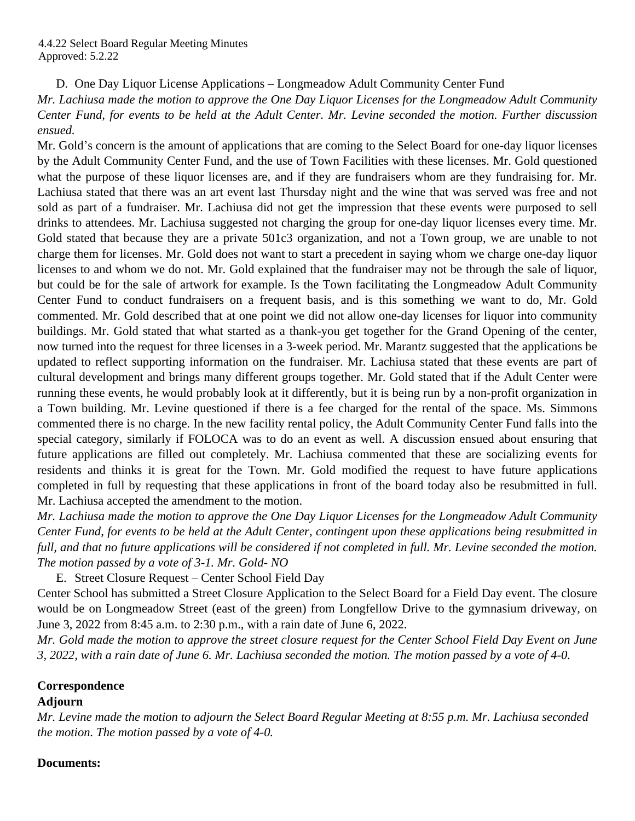D. One Day Liquor License Applications – Longmeadow Adult Community Center Fund

*Mr. Lachiusa made the motion to approve the One Day Liquor Licenses for the Longmeadow Adult Community* Center Fund, for events to be held at the Adult Center. Mr. Levine seconded the motion. Further discussion *ensued.* 

Mr. Gold's concern is the amount of applications that are coming to the Select Board for one-day liquor licenses by the Adult Community Center Fund, and the use of Town Facilities with these licenses. Mr. Gold questioned what the purpose of these liquor licenses are, and if they are fundraisers whom are they fundraising for. Mr. Lachiusa stated that there was an art event last Thursday night and the wine that was served was free and not sold as part of a fundraiser. Mr. Lachiusa did not get the impression that these events were purposed to sell drinks to attendees. Mr. Lachiusa suggested not charging the group for one-day liquor licenses every time. Mr. Gold stated that because they are a private 501c3 organization, and not a Town group, we are unable to not charge them for licenses. Mr. Gold does not want to start a precedent in saying whom we charge one-day liquor licenses to and whom we do not. Mr. Gold explained that the fundraiser may not be through the sale of liquor, but could be for the sale of artwork for example. Is the Town facilitating the Longmeadow Adult Community Center Fund to conduct fundraisers on a frequent basis, and is this something we want to do, Mr. Gold commented. Mr. Gold described that at one point we did not allow one-day licenses for liquor into community buildings. Mr. Gold stated that what started as a thank-you get together for the Grand Opening of the center, now turned into the request for three licenses in a 3-week period. Mr. Marantz suggested that the applications be updated to reflect supporting information on the fundraiser. Mr. Lachiusa stated that these events are part of cultural development and brings many different groups together. Mr. Gold stated that if the Adult Center were running these events, he would probably look at it differently, but it is being run by a non-profit organization in a Town building. Mr. Levine questioned if there is a fee charged for the rental of the space. Ms. Simmons commented there is no charge. In the new facility rental policy, the Adult Community Center Fund falls into the special category, similarly if FOLOCA was to do an event as well. A discussion ensued about ensuring that future applications are filled out completely. Mr. Lachiusa commented that these are socializing events for residents and thinks it is great for the Town. Mr. Gold modified the request to have future applications completed in full by requesting that these applications in front of the board today also be resubmitted in full. Mr. Lachiusa accepted the amendment to the motion.

*Mr. Lachiusa made the motion to approve the One Day Liquor Licenses for the Longmeadow Adult Community* Center Fund, for events to be held at the Adult Center, contingent upon these applications being resubmitted in full, and that no future applications will be considered if not completed in full. Mr. Levine seconded the motion. *The motion passed by a vote of 3-1. Mr. Gold- NO*

E. Street Closure Request – Center School Field Day

Center School has submitted a Street Closure Application to the Select Board for a Field Day event. The closure would be on Longmeadow Street (east of the green) from Longfellow Drive to the gymnasium driveway, on June 3, 2022 from 8:45 a.m. to 2:30 p.m., with a rain date of June 6, 2022.

Mr. Gold made the motion to approve the street closure request for the Center School Field Day Event on June *3, 2022, with a rain date of June 6. Mr. Lachiusa seconded the motion. The motion passed by a vote of 4-0.*

# **Correspondence**

# **Adjourn**

*Mr. Levine made the motion to adjourn the Select Board Regular Meeting at 8:55 p.m. Mr. Lachiusa seconded the motion. The motion passed by a vote of 4-0.* 

# **Documents:**